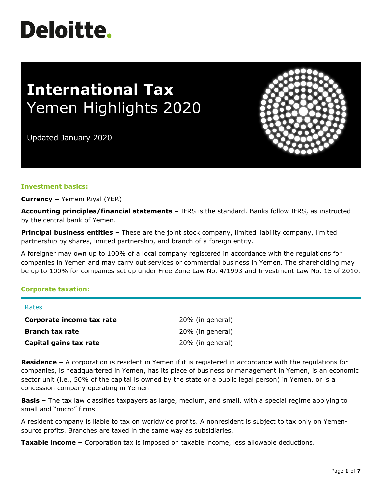# **Deloitte.**

# **International Tax** Yemen Highlights 2020

Updated January 2020



#### **Investment basics:**

**Currency –** Yemeni Riyal (YER)

**Accounting principles/financial statements –** IFRS is the standard. Banks follow IFRS, as instructed by the central bank of Yemen.

**Principal business entities -** These are the joint stock company, limited liability company, limited partnership by shares, limited partnership, and branch of a foreign entity.

A foreigner may own up to 100% of a local company registered in accordance with the regulations for companies in Yemen and may carry out services or commercial business in Yemen. The shareholding may be up to 100% for companies set up under Free Zone Law No. 4/1993 and Investment Law No. 15 of 2010.

#### **Corporate taxation:**

| Rates                     |                  |
|---------------------------|------------------|
| Corporate income tax rate | 20% (in general) |
| <b>Branch tax rate</b>    | 20% (in general) |
| Capital gains tax rate    | 20% (in general) |

**Residence –** A corporation is resident in Yemen if it is registered in accordance with the regulations for companies, is headquartered in Yemen, has its place of business or management in Yemen, is an economic sector unit (i.e., 50% of the capital is owned by the state or a public legal person) in Yemen, or is a concession company operating in Yemen.

**Basis –** The tax law classifies taxpayers as large, medium, and small, with a special regime applying to small and "micro" firms.

A resident company is liable to tax on worldwide profits. A nonresident is subject to tax only on Yemensource profits. Branches are taxed in the same way as subsidiaries.

**Taxable income –** Corporation tax is imposed on taxable income, less allowable deductions.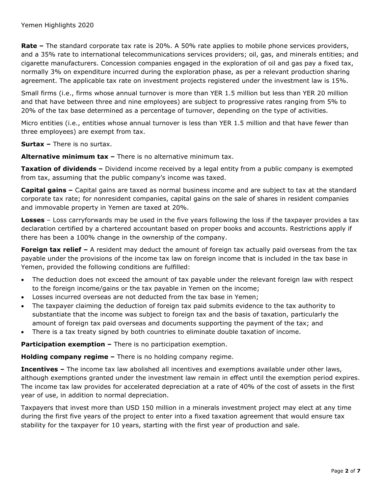**Rate –** The standard corporate tax rate is 20%. A 50% rate applies to mobile phone services providers, and a 35% rate to international telecommunications services providers; oil, gas, and minerals entities; and cigarette manufacturers. Concession companies engaged in the exploration of oil and gas pay a fixed tax, normally 3% on expenditure incurred during the exploration phase, as per a relevant production sharing agreement. The applicable tax rate on investment projects registered under the investment law is 15%.

Small firms (i.e., firms whose annual turnover is more than YER 1.5 million but less than YER 20 million and that have between three and nine employees) are subject to progressive rates ranging from 5% to 20% of the tax base determined as a percentage of turnover, depending on the type of activities.

Micro entities (i.e., entities whose annual turnover is less than YER 1.5 million and that have fewer than three employees) are exempt from tax.

**Surtax –** There is no surtax.

**Alternative minimum tax –** There is no alternative minimum tax.

**Taxation of dividends –** Dividend income received by a legal entity from a public company is exempted from tax, assuming that the public company's income was taxed.

**Capital gains –** Capital gains are taxed as normal business income and are subject to tax at the standard corporate tax rate; for nonresident companies, capital gains on the sale of shares in resident companies and immovable property in Yemen are taxed at 20%.

**Losses** – Loss carryforwards may be used in the five years following the loss if the taxpayer provides a tax declaration certified by a chartered accountant based on proper books and accounts. Restrictions apply if there has been a 100% change in the ownership of the company.

**Foreign tax relief** – A resident may deduct the amount of foreign tax actually paid overseas from the tax payable under the provisions of the income tax law on foreign income that is included in the tax base in Yemen, provided the following conditions are fulfilled:

- The deduction does not exceed the amount of tax payable under the relevant foreign law with respect to the foreign income/gains or the tax payable in Yemen on the income;
- Losses incurred overseas are not deducted from the tax base in Yemen;
- The taxpayer claiming the deduction of foreign tax paid submits evidence to the tax authority to substantiate that the income was subject to foreign tax and the basis of taxation, particularly the amount of foreign tax paid overseas and documents supporting the payment of the tax; and
- There is a tax treaty signed by both countries to eliminate double taxation of income.

**Participation exemption –** There is no participation exemption.

**Holding company regime –** There is no holding company regime.

**Incentives –** The income tax law abolished all incentives and exemptions available under other laws, although exemptions granted under the investment law remain in effect until the exemption period expires. The income tax law provides for accelerated depreciation at a rate of 40% of the cost of assets in the first year of use, in addition to normal depreciation.

Taxpayers that invest more than USD 150 million in a minerals investment project may elect at any time during the first five years of the project to enter into a fixed taxation agreement that would ensure tax stability for the taxpayer for 10 years, starting with the first year of production and sale.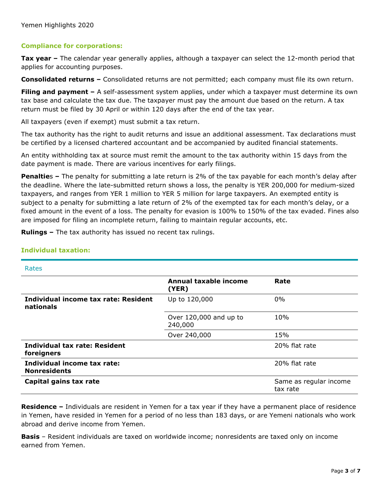#### **Compliance for corporations:**

**Tax year –** The calendar year generally applies, although a taxpayer can select the 12-month period that applies for accounting purposes.

**Consolidated returns –** Consolidated returns are not permitted; each company must file its own return.

**Filing and payment –** A self-assessment system applies, under which a taxpayer must determine its own tax base and calculate the tax due. The taxpayer must pay the amount due based on the return. A tax return must be filed by 30 April or within 120 days after the end of the tax year.

All taxpayers (even if exempt) must submit a tax return.

The tax authority has the right to audit returns and issue an additional assessment. Tax declarations must be certified by a licensed chartered accountant and be accompanied by audited financial statements.

An entity withholding tax at source must remit the amount to the tax authority within 15 days from the date payment is made. There are various incentives for early filings.

**Penaltie**s **–** The penalty for submitting a late return is 2% of the tax payable for each month's delay after the deadline. Where the late-submitted return shows a loss, the penalty is YER 200,000 for medium-sized taxpayers, and ranges from YER 1 million to YER 5 million for large taxpayers. An exempted entity is subject to a penalty for submitting a late return of 2% of the exempted tax for each month's delay, or a fixed amount in the event of a loss. The penalty for evasion is 100% to 150% of the tax evaded. Fines also are imposed for filing an incomplete return, failing to maintain regular accounts, etc.

**Rulings –** The tax authority has issued no recent tax rulings.

| Rates                                              |                                   |                                    |
|----------------------------------------------------|-----------------------------------|------------------------------------|
|                                                    | Annual taxable income<br>(YER)    | Rate                               |
| Individual income tax rate: Resident<br>nationals  | Up to 120,000                     | 0%                                 |
|                                                    | Over 120,000 and up to<br>240,000 | 10%                                |
|                                                    | Over 240,000                      | 15%                                |
| <b>Individual tax rate: Resident</b><br>foreigners |                                   | 20% flat rate                      |
| Individual income tax rate:<br><b>Nonresidents</b> |                                   | 20% flat rate                      |
| Capital gains tax rate                             |                                   | Same as regular income<br>tax rate |

## **Individual taxation:**

**Residence –** Individuals are resident in Yemen for a tax year if they have a permanent place of residence in Yemen, have resided in Yemen for a period of no less than 183 days, or are Yemeni nationals who work abroad and derive income from Yemen.

**Basis** – Resident individuals are taxed on worldwide income; nonresidents are taxed only on income earned from Yemen.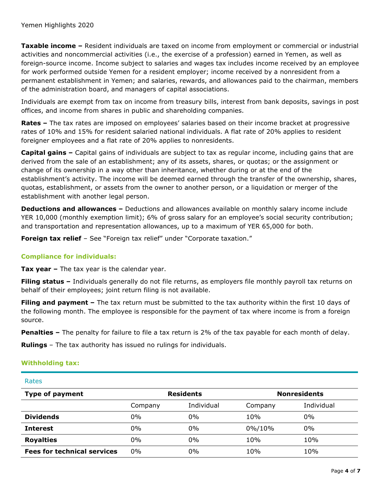**Taxable income –** Resident individuals are taxed on income from employment or commercial or industrial activities and noncommercial activities (i.e., the exercise of a profession) earned in Yemen, as well as foreign-source income. Income subject to salaries and wages tax includes income received by an employee for work performed outside Yemen for a resident employer; income received by a nonresident from a permanent establishment in Yemen; and salaries, rewards, and allowances paid to the chairman, members of the administration board, and managers of capital associations.

Individuals are exempt from tax on income from treasury bills, interest from bank deposits, savings in post offices, and income from shares in public and shareholding companies.

**Rates –** The tax rates are imposed on employees' salaries based on their income bracket at progressive rates of 10% and 15% for resident salaried national individuals. A flat rate of 20% applies to resident foreigner employees and a flat rate of 20% applies to nonresidents.

**Capital gains –** Capital gains of individuals are subject to tax as regular income, including gains that are derived from the sale of an establishment; any of its assets, shares, or quotas; or the assignment or change of its ownership in a way other than inheritance, whether during or at the end of the establishment's activity. The income will be deemed earned through the transfer of the ownership, shares, quotas, establishment, or assets from the owner to another person, or a liquidation or merger of the establishment with another legal person.

**Deductions and allowances –** Deductions and allowances available on monthly salary income include YER 10,000 (monthly exemption limit); 6% of gross salary for an employee's social security contribution; and transportation and representation allowances, up to a maximum of YER 65,000 for both.

**Foreign tax relief** – See "Foreign tax relief" under "Corporate taxation."

## **Compliance for individuals:**

**Tax year –** The tax year is the calendar year.

**Filing status –** Individuals generally do not file returns, as employers file monthly payroll tax returns on behalf of their employees; joint return filing is not available.

**Filing and payment –** The tax return must be submitted to the tax authority within the first 10 days of the following month. The employee is responsible for the payment of tax where income is from a foreign source.

**Penalties –** The penalty for failure to file a tax return is 2% of the tax payable for each month of delay.

**Rulings** – The tax authority has issued no rulings for individuals.

## **Withholding tax:**

| Rates                              |                  |            |         |                     |
|------------------------------------|------------------|------------|---------|---------------------|
| <b>Type of payment</b>             | <b>Residents</b> |            |         | <b>Nonresidents</b> |
|                                    | Company          | Individual | Company | Individual          |
| <b>Dividends</b>                   | $0\%$            | 0%         | 10%     | $0\%$               |
| <b>Interest</b>                    | 0%               | 0%         | 0%/10%  | $0\%$               |
| <b>Royalties</b>                   | $0\%$            | 0%         | 10%     | 10%                 |
| <b>Fees for technical services</b> | 0%               | 0%         | 10%     | 10%                 |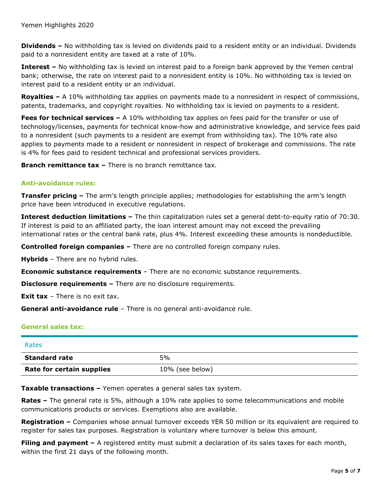**Dividends –** No withholding tax is levied on dividends paid to a resident entity or an individual. Dividends paid to a nonresident entity are taxed at a rate of 10%.

**Interest –** No withholding tax is levied on interest paid to a foreign bank approved by the Yemen central bank; otherwise, the rate on interest paid to a nonresident entity is 10%. No withholding tax is levied on interest paid to a resident entity or an individual.

**Royalties –** A 10% withholding tax applies on payments made to a nonresident in respect of commissions, patents, trademarks, and copyright royalties. No withholding tax is levied on payments to a resident.

**Fees for technical services –** A 10% withholding tax applies on fees paid for the transfer or use of technology/licenses, payments for technical know-how and administrative knowledge, and service fees paid to a nonresident (such payments to a resident are exempt from withholding tax). The 10% rate also applies to payments made to a resident or nonresident in respect of brokerage and commissions. The rate is 4% for fees paid to resident technical and professional services providers.

**Branch remittance tax –** There is no branch remittance tax.

#### **Anti-avoidance rules:**

**Transfer pricing –** The arm's length principle applies; methodologies for establishing the arm's length price have been introduced in executive regulations.

**Interest deduction limitations –** The thin capitalization rules set a general debt-to-equity ratio of 70:30. If interest is paid to an affiliated party, the loan interest amount may not exceed the prevailing international rates or the central bank rate, plus 4%. Interest exceeding these amounts is nondeductible.

**Controlled foreign companies –** There are no controlled foreign company rules.

**Hybrids** – There are no hybrid rules.

**Economic substance requirements** – There are no economic substance requirements.

**Disclosure requirements –** There are no disclosure requirements.

**Exit tax** – There is no exit tax.

**General anti-avoidance rule** – There is no general anti-avoidance rule.

## **General sales tax:**

| Rates                     |                 |
|---------------------------|-----------------|
| <b>Standard rate</b>      | 5%              |
| Rate for certain supplies | 10% (see below) |

**Taxable transactions –** Yemen operates a general sales tax system.

**Rates –** The general rate is 5%, although a 10% rate applies to some telecommunications and mobile communications products or services. Exemptions also are available.

**Registration –** Companies whose annual turnover exceeds YER 50 million or its equivalent are required to register for sales tax purposes. Registration is voluntary where turnover is below this amount.

**Filing and payment** – A registered entity must submit a declaration of its sales taxes for each month, within the first 21 days of the following month.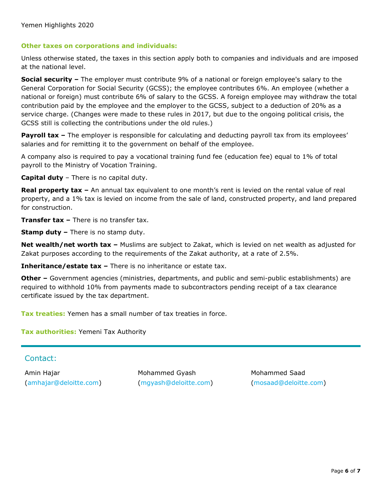#### **Other taxes on corporations and individuals:**

Unless otherwise stated, the taxes in this section apply both to companies and individuals and are imposed at the national level.

**Social security –** The employer must contribute 9% of a national or foreign employee's salary to the General Corporation for Social Security (GCSS); the employee contributes 6%. An employee (whether a national or foreign) must contribute 6% of salary to the GCSS. A foreign employee may withdraw the total contribution paid by the employee and the employer to the GCSS, subject to a deduction of 20% as a service charge. (Changes were made to these rules in 2017, but due to the ongoing political crisis, the GCSS still is collecting the contributions under the old rules.)

**Payroll tax** – The employer is responsible for calculating and deducting payroll tax from its employees' salaries and for remitting it to the government on behalf of the employee.

A company also is required to pay a vocational training fund fee (education fee) equal to 1% of total payroll to the Ministry of Vocation Training.

**Capital duty** – There is no capital duty.

**Real property tax –** An annual tax equivalent to one month's rent is levied on the rental value of real property, and a 1% tax is levied on income from the sale of land, constructed property, and land prepared for construction.

**Transfer tax –** There is no transfer tax.

**Stamp duty –** There is no stamp duty.

**Net wealth/net worth tax –** Muslims are subject to Zakat, which is levied on net wealth as adjusted for Zakat purposes according to the requirements of the Zakat authority, at a rate of 2.5%.

**Inheritance/estate tax –** There is no inheritance or estate tax.

**Other –** Government agencies (ministries, departments, and public and semi-public establishments) are required to withhold 10% from payments made to subcontractors pending receipt of a tax clearance certificate issued by the tax department.

**Tax treaties:** Yemen has a small number of tax treaties in force.

**Tax authorities:** Yemeni Tax Authority

Contact:

Amin Hajar [\(amhajar@deloitte.com\)](mailto:amhajar@deloitte.com)

Mohammed Gyash [\(mgyash@deloitte.com\)](mailto:mgyash@deloitte.com)

Mohammed Saad [\(mosaad@deloitte.com\)](mailto:mosaad@deloitte.com)